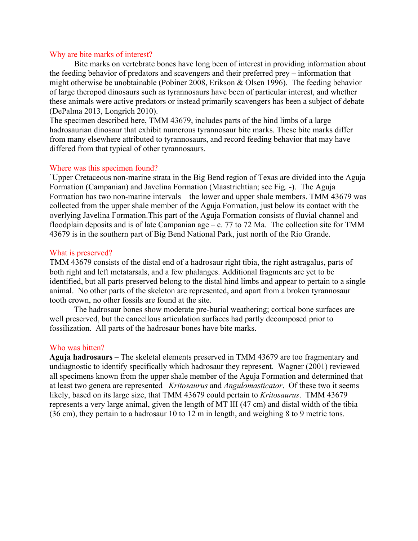## Why are bite marks of interest?

Bite marks on vertebrate bones have long been of interest in providing information about the feeding behavior of predators and scavengers and their preferred prey – information that might otherwise be unobtainable (Pobiner 2008, Erikson & Olsen 1996). The feeding behavior of large theropod dinosaurs such as tyrannosaurs have been of particular interest, and whether these animals were active predators or instead primarily scavengers has been a subject of debate (DePalma 2013, Longrich 2010).

The specimen described here, TMM 43679, includes parts of the hind limbs of a large hadrosaurian dinosaur that exhibit numerous tyrannosaur bite marks. These bite marks differ from many elsewhere attributed to tyrannosaurs, and record feeding behavior that may have differed from that typical of other tyrannosaurs.

## Where was this specimen found?

`Upper Cretaceous non-marine strata in the Big Bend region of Texas are divided into the Aguja Formation (Campanian) and Javelina Formation (Maastrichtian; see Fig. -). The Aguja Formation has two non-marine intervals – the lower and upper shale members. TMM 43679 was collected from the upper shale member of the Aguja Formation, just below its contact with the overlying Javelina Formation.This part of the Aguja Formation consists of fluvial channel and floodplain deposits and is of late Campanian age – c. 77 to 72 Ma. The collection site for TMM 43679 is in the southern part of Big Bend National Park, just north of the Rio Grande.

#### What is preserved?

TMM 43679 consists of the distal end of a hadrosaur right tibia, the right astragalus, parts of both right and left metatarsals, and a few phalanges. Additional fragments are yet to be identified, but all parts preserved belong to the distal hind limbs and appear to pertain to a single animal. No other parts of the skeleton are represented, and apart from a broken tyrannosaur tooth crown, no other fossils are found at the site.

The hadrosaur bones show moderate pre-burial weathering; cortical bone surfaces are well preserved, but the cancellous articulation surfaces had partly decomposed prior to fossilization. All parts of the hadrosaur bones have bite marks.

# Who was bitten?

**Aguja hadrosaurs** – The skeletal elements preserved in TMM 43679 are too fragmentary and undiagnostic to identify specifically which hadrosaur they represent. Wagner (2001) reviewed all specimens known from the upper shale member of the Aguja Formation and determined that at least two genera are represented– *Kritosaurus* and *Angulomasticator*. Of these two it seems likely, based on its large size, that TMM 43679 could pertain to *Kritosaurus*. TMM 43679 represents a very large animal, given the length of MT III (47 cm) and distal width of the tibia (36 cm), they pertain to a hadrosaur 10 to 12 m in length, and weighing 8 to 9 metric tons.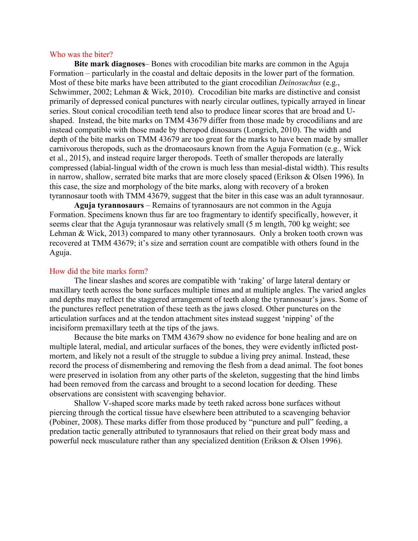#### Who was the biter?

**Bite mark diagnoses**– Bones with crocodilian bite marks are common in the Aguja Formation – particularly in the coastal and deltaic deposits in the lower part of the formation. Most of these bite marks have been attributed to the giant crocodilian *Deinosuchus* (e.g., Schwimmer, 2002; Lehman & Wick, 2010). Crocodilian bite marks are distinctive and consist primarily of depressed conical punctures with nearly circular outlines, typically arrayed in linear series. Stout conical crocodilian teeth tend also to produce linear scores that are broad and Ushaped. Instead, the bite marks on TMM 43679 differ from those made by crocodilians and are instead compatible with those made by theropod dinosaurs (Longrich, 2010). The width and depth of the bite marks on TMM 43679 are too great for the marks to have been made by smaller carnivorous theropods, such as the dromaeosaurs known from the Aguja Formation (e.g., Wick et al., 2015), and instead require larger theropods. Teeth of smaller theropods are laterally compressed (labial-lingual width of the crown is much less than mesial-distal width). This results in narrow, shallow, serrated bite marks that are more closely spaced (Erikson & Olsen 1996). In this case, the size and morphology of the bite marks, along with recovery of a broken tyrannosaur tooth with TMM 43679, suggest that the biter in this case was an adult tyrannosaur.

**Aguja tyrannosaurs** – Remains of tyrannosaurs are not common in the Aguja Formation. Specimens known thus far are too fragmentary to identify specifically, however, it seems clear that the Aguja tyrannosaur was relatively small (5 m length, 700 kg weight; see Lehman & Wick, 2013) compared to many other tyrannosaurs. Only a broken tooth crown was recovered at TMM 43679; it's size and serration count are compatible with others found in the Aguja.

## How did the bite marks form?

The linear slashes and scores are compatible with 'raking' of large lateral dentary or maxillary teeth across the bone surfaces multiple times and at multiple angles. The varied angles and depths may reflect the staggered arrangement of teeth along the tyrannosaur's jaws. Some of the punctures reflect penetration of these teeth as the jaws closed. Other punctures on the articulation surfaces and at the tendon attachment sites instead suggest 'nipping' of the incisiform premaxillary teeth at the tips of the jaws.

Because the bite marks on TMM 43679 show no evidence for bone healing and are on multiple lateral, medial, and articular surfaces of the bones, they were evidently inflicted postmortem, and likely not a result of the struggle to subdue a living prey animal. Instead, these record the process of dismembering and removing the flesh from a dead animal. The foot bones were preserved in isolation from any other parts of the skeleton, suggesting that the hind limbs had been removed from the carcass and brought to a second location for deeding. These observations are consistent with scavenging behavior.

Shallow V-shaped score marks made by teeth raked across bone surfaces without piercing through the cortical tissue have elsewhere been attributed to a scavenging behavior (Pobiner, 2008). These marks differ from those produced by "puncture and pull" feeding, a predation tactic generally attributed to tyrannosaurs that relied on their great body mass and powerful neck musculature rather than any specialized dentition (Erikson & Olsen 1996).